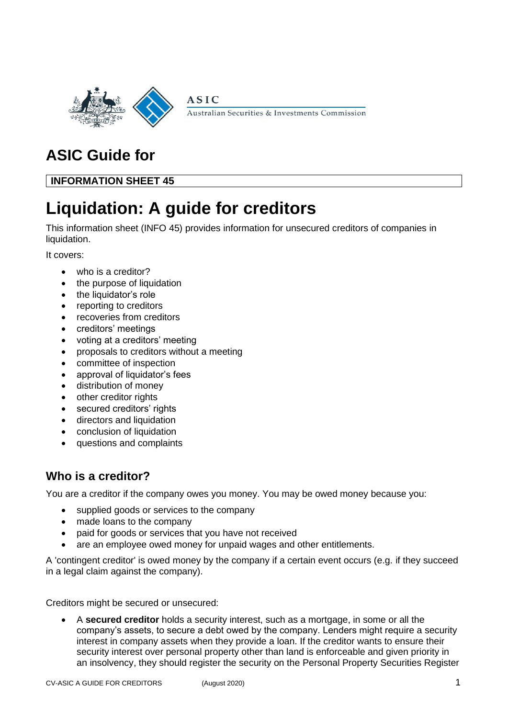

Australian Securities & Investments Commission

# **ASIC Guide for**

**INFORMATION SHEET 45**

# **Liquidation: A guide for creditors**

**ASIC** 

This information sheet (INFO 45) provides information for unsecured creditors of companies in liquidation.

It covers:

- who is a creditor?
- the purpose of liquidation
- the liquidator's role
- reporting to creditors
- recoveries from creditors
- creditors' meetings
- voting at a creditors' meeting
- proposals to creditors without a meeting
- committee of inspection
- approval of liquidator's fees
- distribution of money
- other creditor rights
- secured creditors' rights
- directors and liquidation
- conclusion of liquidation
- questions and complaints

# **Who is a creditor?**

You are a creditor if the company owes you money. You may be owed money because you:

- supplied goods or services to the company
- made loans to the company
- paid for goods or services that you have not received
- are an employee owed money for unpaid wages and other entitlements.

A 'contingent creditor' is owed money by the company if a certain event occurs (e.g. if they succeed in a legal claim against the company).

Creditors might be secured or unsecured:

• A **secured creditor** holds a security interest, such as a mortgage, in some or all the company's assets, to secure a debt owed by the company. Lenders might require a security interest in company assets when they provide a loan. If the creditor wants to ensure their security interest over personal property other than land is enforceable and given priority in an insolvency, they should register the security on the Personal Property Securities Register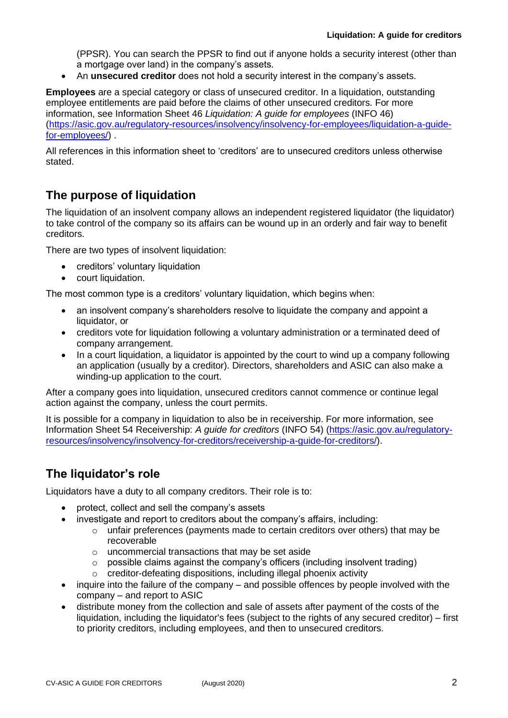(PPSR). You can search the PPSR to find out if anyone holds a security interest (other than a mortgage over land) in the company's assets.

• An **unsecured creditor** does not hold a security interest in the company's assets.

**Employees** are a special category or class of unsecured creditor. In a liquidation, outstanding employee entitlements are paid before the claims of other unsecured creditors. For more information, see Information Sheet 46 *Liquidation: A guide for employees* (INFO 46) [\(https://asic.gov.au/regulatory-resources/insolvency/insolvency-for-employees/liquidation-a-guide](https://asic.gov.au/regulatory-resources/insolvency/insolvency-for-employees/liquidation-a-guide-for-employees/)[for-employees/\)](https://asic.gov.au/regulatory-resources/insolvency/insolvency-for-employees/liquidation-a-guide-for-employees/) .

All references in this information sheet to 'creditors' are to unsecured creditors unless otherwise stated.

# **The purpose of liquidation**

The liquidation of an insolvent company allows an independent registered liquidator (the liquidator) to take control of the company so its affairs can be wound up in an orderly and fair way to benefit creditors.

There are two types of insolvent liquidation:

- creditors' voluntary liquidation
- court liquidation.

The most common type is a creditors' voluntary liquidation, which begins when:

- an insolvent company's shareholders resolve to liquidate the company and appoint a liquidator, or
- creditors vote for liquidation following a voluntary administration or a terminated deed of company arrangement.
- In a court liquidation, a liquidator is appointed by the court to wind up a company following an application (usually by a creditor). Directors, shareholders and ASIC can also make a winding-up application to the court.

After a company goes into liquidation, unsecured creditors cannot commence or continue legal action against the company, unless the court permits.

It is possible for a company in liquidation to also be in receivership. For more information, see Information Sheet 54 Receivership: *A guide for creditors* (INFO 54) [\(https://asic.gov.au/regulatory](https://asic.gov.au/regulatory-resources/insolvency/insolvency-for-creditors/receivership-a-guide-for-creditors/)[resources/insolvency/insolvency-for-creditors/receivership-a-guide-for-creditors/\)](https://asic.gov.au/regulatory-resources/insolvency/insolvency-for-creditors/receivership-a-guide-for-creditors/).

# **The liquidator's role**

Liquidators have a duty to all company creditors. Their role is to:

- protect, collect and sell the company's assets
	- investigate and report to creditors about the company's affairs, including:
		- $\circ$  unfair preferences (payments made to certain creditors over others) that may be recoverable
		- o uncommercial transactions that may be set aside
		- $\circ$  possible claims against the company's officers (including insolvent trading)
		- o creditor-defeating dispositions, including illegal phoenix activity
- inquire into the failure of the company and possible offences by people involved with the company – and report to ASIC
- distribute money from the collection and sale of assets after payment of the costs of the liquidation, including the liquidator's fees (subject to the rights of any secured creditor) – first to priority creditors, including employees, and then to unsecured creditors.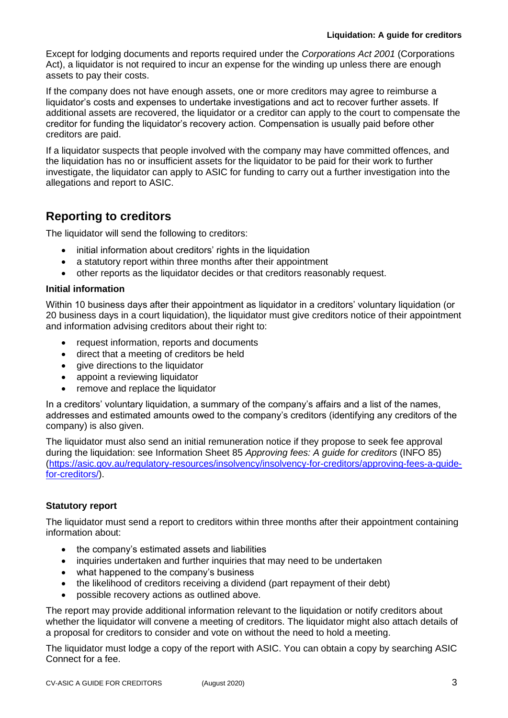Except for lodging documents and reports required under the *Corporations Act 2001* (Corporations Act), a liquidator is not required to incur an expense for the winding up unless there are enough assets to pay their costs.

If the company does not have enough assets, one or more creditors may agree to reimburse a liquidator's costs and expenses to undertake investigations and act to recover further assets. If additional assets are recovered, the liquidator or a creditor can apply to the court to compensate the creditor for funding the liquidator's recovery action. Compensation is usually paid before other creditors are paid.

If a liquidator suspects that people involved with the company may have committed offences, and the liquidation has no or insufficient assets for the liquidator to be paid for their work to further investigate, the liquidator can apply to ASIC for funding to carry out a further investigation into the allegations and report to ASIC.

# **Reporting to creditors**

The liquidator will send the following to creditors:

- initial information about creditors' rights in the liquidation
- a statutory report within three months after their appointment
- other reports as the liquidator decides or that creditors reasonably request.

# **Initial information**

Within 10 business days after their appointment as liquidator in a creditors' voluntary liquidation (or 20 business days in a court liquidation), the liquidator must give creditors notice of their appointment and information advising creditors about their right to:

- request information, reports and documents
- direct that a meeting of creditors be held
- give directions to the liquidator
- appoint a reviewing liquidator
- remove and replace the liquidator

In a creditors' voluntary liquidation, a summary of the company's affairs and a list of the names, addresses and estimated amounts owed to the company's creditors (identifying any creditors of the company) is also given.

The liquidator must also send an initial remuneration notice if they propose to seek fee approval during the liquidation: see Information Sheet 85 *Approving fees: A guide for creditors* (INFO 85) [\(https://asic.gov.au/regulatory-resources/insolvency/insolvency-for-creditors/approving-fees-a-guide](https://asic.gov.au/regulatory-resources/insolvency/insolvency-for-creditors/approving-fees-a-guide-for-creditors/)[for-creditors/\)](https://asic.gov.au/regulatory-resources/insolvency/insolvency-for-creditors/approving-fees-a-guide-for-creditors/).

# **Statutory report**

The liquidator must send a report to creditors within three months after their appointment containing information about:

- the company's estimated assets and liabilities
- inquiries undertaken and further inquiries that may need to be undertaken
- what happened to the company's business
- the likelihood of creditors receiving a dividend (part repayment of their debt)
- possible recovery actions as outlined above.

The report may provide additional information relevant to the liquidation or notify creditors about whether the liquidator will convene a meeting of creditors. The liquidator might also attach details of a proposal for creditors to consider and vote on without the need to hold a meeting.

The liquidator must lodge a copy of the report with ASIC. You can obtain a copy by searching ASIC Connect for a fee.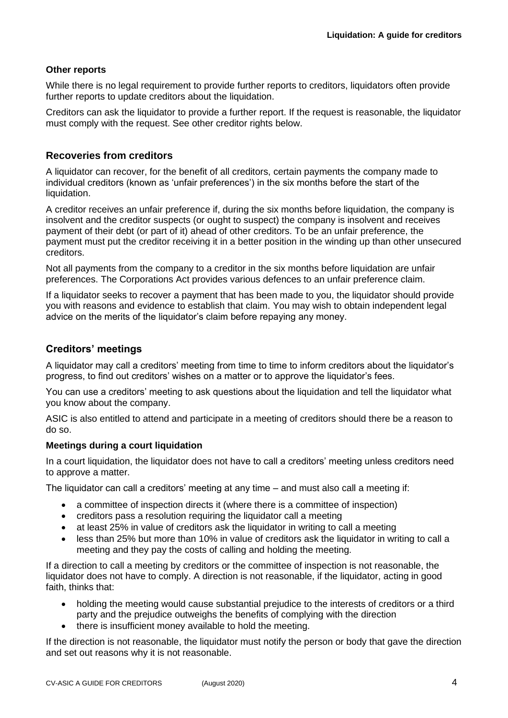# **Other reports**

While there is no legal requirement to provide further reports to creditors, liquidators often provide further reports to update creditors about the liquidation.

Creditors can ask the liquidator to provide a further report. If the request is reasonable, the liquidator must comply with the request. See other creditor rights below.

# **Recoveries from creditors**

A liquidator can recover, for the benefit of all creditors, certain payments the company made to individual creditors (known as 'unfair preferences') in the six months before the start of the liquidation.

A creditor receives an unfair preference if, during the six months before liquidation, the company is insolvent and the creditor suspects (or ought to suspect) the company is insolvent and receives payment of their debt (or part of it) ahead of other creditors. To be an unfair preference, the payment must put the creditor receiving it in a better position in the winding up than other unsecured creditors.

Not all payments from the company to a creditor in the six months before liquidation are unfair preferences. The Corporations Act provides various defences to an unfair preference claim.

If a liquidator seeks to recover a payment that has been made to you, the liquidator should provide you with reasons and evidence to establish that claim. You may wish to obtain independent legal advice on the merits of the liquidator's claim before repaying any money.

# **Creditors' meetings**

A liquidator may call a creditors' meeting from time to time to inform creditors about the liquidator's progress, to find out creditors' wishes on a matter or to approve the liquidator's fees.

You can use a creditors' meeting to ask questions about the liquidation and tell the liquidator what you know about the company.

ASIC is also entitled to attend and participate in a meeting of creditors should there be a reason to do so.

# **Meetings during a court liquidation**

In a court liquidation, the liquidator does not have to call a creditors' meeting unless creditors need to approve a matter.

The liquidator can call a creditors' meeting at any time – and must also call a meeting if:

- a committee of inspection directs it (where there is a committee of inspection)
- creditors pass a resolution requiring the liquidator call a meeting
- at least 25% in value of creditors ask the liquidator in writing to call a meeting
- less than 25% but more than 10% in value of creditors ask the liquidator in writing to call a meeting and they pay the costs of calling and holding the meeting.

If a direction to call a meeting by creditors or the committee of inspection is not reasonable, the liquidator does not have to comply. A direction is not reasonable, if the liquidator, acting in good faith, thinks that:

- holding the meeting would cause substantial prejudice to the interests of creditors or a third party and the prejudice outweighs the benefits of complying with the direction
- there is insufficient money available to hold the meeting.

If the direction is not reasonable, the liquidator must notify the person or body that gave the direction and set out reasons why it is not reasonable.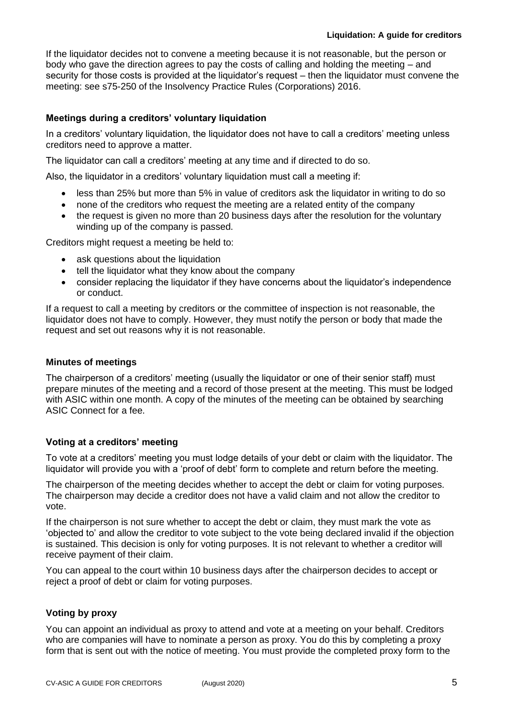If the liquidator decides not to convene a meeting because it is not reasonable, but the person or body who gave the direction agrees to pay the costs of calling and holding the meeting – and security for those costs is provided at the liquidator's request – then the liquidator must convene the meeting: see s75-250 of the Insolvency Practice Rules (Corporations) 2016.

# **Meetings during a creditors' voluntary liquidation**

In a creditors' voluntary liquidation, the liquidator does not have to call a creditors' meeting unless creditors need to approve a matter.

The liquidator can call a creditors' meeting at any time and if directed to do so.

Also, the liquidator in a creditors' voluntary liquidation must call a meeting if:

- less than 25% but more than 5% in value of creditors ask the liquidator in writing to do so
- none of the creditors who request the meeting are a related entity of the company
- the request is given no more than 20 business days after the resolution for the voluntary winding up of the company is passed.

Creditors might request a meeting be held to:

- ask questions about the liquidation
- tell the liquidator what they know about the company
- consider replacing the liquidator if they have concerns about the liquidator's independence or conduct.

If a request to call a meeting by creditors or the committee of inspection is not reasonable, the liquidator does not have to comply. However, they must notify the person or body that made the request and set out reasons why it is not reasonable.

#### **Minutes of meetings**

The chairperson of a creditors' meeting (usually the liquidator or one of their senior staff) must prepare minutes of the meeting and a record of those present at the meeting. This must be lodged with ASIC within one month. A copy of the minutes of the meeting can be obtained by searching ASIC Connect for a fee.

# **Voting at a creditors' meeting**

To vote at a creditors' meeting you must lodge details of your debt or claim with the liquidator. The liquidator will provide you with a 'proof of debt' form to complete and return before the meeting.

The chairperson of the meeting decides whether to accept the debt or claim for voting purposes. The chairperson may decide a creditor does not have a valid claim and not allow the creditor to vote.

If the chairperson is not sure whether to accept the debt or claim, they must mark the vote as 'objected to' and allow the creditor to vote subject to the vote being declared invalid if the objection is sustained. This decision is only for voting purposes. It is not relevant to whether a creditor will receive payment of their claim.

You can appeal to the court within 10 business days after the chairperson decides to accept or reject a proof of debt or claim for voting purposes.

# **Voting by proxy**

You can appoint an individual as proxy to attend and vote at a meeting on your behalf. Creditors who are companies will have to nominate a person as proxy. You do this by completing a proxy form that is sent out with the notice of meeting. You must provide the completed proxy form to the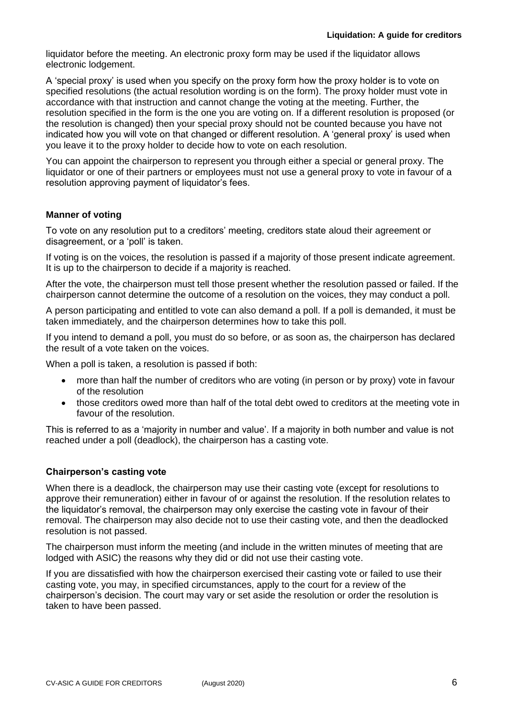liquidator before the meeting. An electronic proxy form may be used if the liquidator allows electronic lodgement.

A 'special proxy' is used when you specify on the proxy form how the proxy holder is to vote on specified resolutions (the actual resolution wording is on the form). The proxy holder must vote in accordance with that instruction and cannot change the voting at the meeting. Further, the resolution specified in the form is the one you are voting on. If a different resolution is proposed (or the resolution is changed) then your special proxy should not be counted because you have not indicated how you will vote on that changed or different resolution. A 'general proxy' is used when you leave it to the proxy holder to decide how to vote on each resolution.

You can appoint the chairperson to represent you through either a special or general proxy. The liquidator or one of their partners or employees must not use a general proxy to vote in favour of a resolution approving payment of liquidator's fees.

# **Manner of voting**

To vote on any resolution put to a creditors' meeting, creditors state aloud their agreement or disagreement, or a 'poll' is taken.

If voting is on the voices, the resolution is passed if a majority of those present indicate agreement. It is up to the chairperson to decide if a majority is reached.

After the vote, the chairperson must tell those present whether the resolution passed or failed. If the chairperson cannot determine the outcome of a resolution on the voices, they may conduct a poll.

A person participating and entitled to vote can also demand a poll. If a poll is demanded, it must be taken immediately, and the chairperson determines how to take this poll.

If you intend to demand a poll, you must do so before, or as soon as, the chairperson has declared the result of a vote taken on the voices.

When a poll is taken, a resolution is passed if both:

- more than half the number of creditors who are voting (in person or by proxy) vote in favour of the resolution
- those creditors owed more than half of the total debt owed to creditors at the meeting vote in favour of the resolution.

This is referred to as a 'majority in number and value'. If a majority in both number and value is not reached under a poll (deadlock), the chairperson has a casting vote.

# **Chairperson's casting vote**

When there is a deadlock, the chairperson may use their casting vote (except for resolutions to approve their remuneration) either in favour of or against the resolution. If the resolution relates to the liquidator's removal, the chairperson may only exercise the casting vote in favour of their removal. The chairperson may also decide not to use their casting vote, and then the deadlocked resolution is not passed.

The chairperson must inform the meeting (and include in the written minutes of meeting that are lodged with ASIC) the reasons why they did or did not use their casting vote.

If you are dissatisfied with how the chairperson exercised their casting vote or failed to use their casting vote, you may, in specified circumstances, apply to the court for a review of the chairperson's decision. The court may vary or set aside the resolution or order the resolution is taken to have been passed.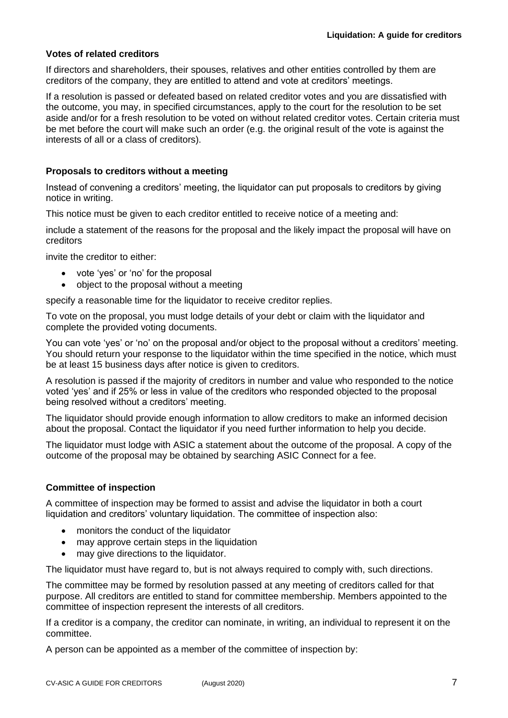# **Votes of related creditors**

If directors and shareholders, their spouses, relatives and other entities controlled by them are creditors of the company, they are entitled to attend and vote at creditors' meetings.

If a resolution is passed or defeated based on related creditor votes and you are dissatisfied with the outcome, you may, in specified circumstances, apply to the court for the resolution to be set aside and/or for a fresh resolution to be voted on without related creditor votes. Certain criteria must be met before the court will make such an order (e.g. the original result of the vote is against the interests of all or a class of creditors).

# **Proposals to creditors without a meeting**

Instead of convening a creditors' meeting, the liquidator can put proposals to creditors by giving notice in writing.

This notice must be given to each creditor entitled to receive notice of a meeting and:

include a statement of the reasons for the proposal and the likely impact the proposal will have on creditors

invite the creditor to either:

- vote 'yes' or 'no' for the proposal
- object to the proposal without a meeting

specify a reasonable time for the liquidator to receive creditor replies.

To vote on the proposal, you must lodge details of your debt or claim with the liquidator and complete the provided voting documents.

You can vote 'yes' or 'no' on the proposal and/or object to the proposal without a creditors' meeting. You should return your response to the liquidator within the time specified in the notice, which must be at least 15 business days after notice is given to creditors.

A resolution is passed if the majority of creditors in number and value who responded to the notice voted 'yes' and if 25% or less in value of the creditors who responded objected to the proposal being resolved without a creditors' meeting.

The liquidator should provide enough information to allow creditors to make an informed decision about the proposal. Contact the liquidator if you need further information to help you decide.

The liquidator must lodge with ASIC a statement about the outcome of the proposal. A copy of the outcome of the proposal may be obtained by searching ASIC Connect for a fee.

#### **Committee of inspection**

A committee of inspection may be formed to assist and advise the liquidator in both a court liquidation and creditors' voluntary liquidation. The committee of inspection also:

- monitors the conduct of the liquidator
- may approve certain steps in the liquidation
- may give directions to the liquidator.

The liquidator must have regard to, but is not always required to comply with, such directions.

The committee may be formed by resolution passed at any meeting of creditors called for that purpose. All creditors are entitled to stand for committee membership. Members appointed to the committee of inspection represent the interests of all creditors.

If a creditor is a company, the creditor can nominate, in writing, an individual to represent it on the committee.

A person can be appointed as a member of the committee of inspection by: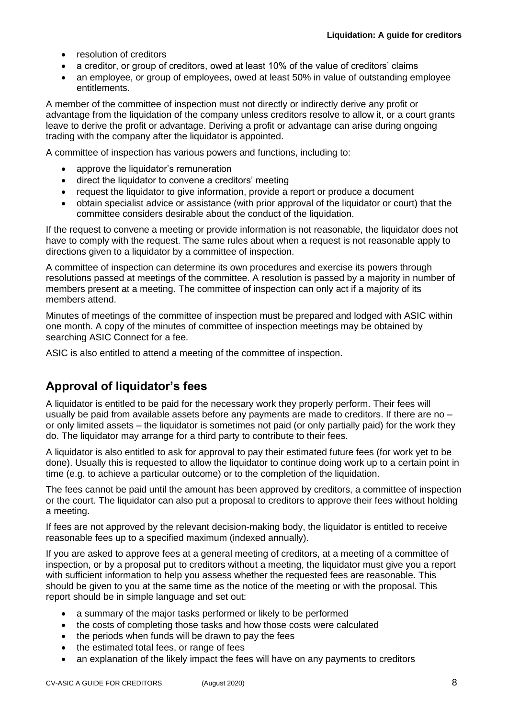- resolution of creditors
- a creditor, or group of creditors, owed at least 10% of the value of creditors' claims
- an employee, or group of employees, owed at least 50% in value of outstanding employee entitlements.

A member of the committee of inspection must not directly or indirectly derive any profit or advantage from the liquidation of the company unless creditors resolve to allow it, or a court grants leave to derive the profit or advantage. Deriving a profit or advantage can arise during ongoing trading with the company after the liquidator is appointed.

A committee of inspection has various powers and functions, including to:

- approve the liquidator's remuneration
- direct the liquidator to convene a creditors' meeting
- request the liquidator to give information, provide a report or produce a document
- obtain specialist advice or assistance (with prior approval of the liquidator or court) that the committee considers desirable about the conduct of the liquidation.

If the request to convene a meeting or provide information is not reasonable, the liquidator does not have to comply with the request. The same rules about when a request is not reasonable apply to directions given to a liquidator by a committee of inspection.

A committee of inspection can determine its own procedures and exercise its powers through resolutions passed at meetings of the committee. A resolution is passed by a majority in number of members present at a meeting. The committee of inspection can only act if a majority of its members attend.

Minutes of meetings of the committee of inspection must be prepared and lodged with ASIC within one month. A copy of the minutes of committee of inspection meetings may be obtained by searching ASIC Connect for a fee.

ASIC is also entitled to attend a meeting of the committee of inspection.

# **Approval of liquidator's fees**

A liquidator is entitled to be paid for the necessary work they properly perform. Their fees will usually be paid from available assets before any payments are made to creditors. If there are no – or only limited assets – the liquidator is sometimes not paid (or only partially paid) for the work they do. The liquidator may arrange for a third party to contribute to their fees.

A liquidator is also entitled to ask for approval to pay their estimated future fees (for work yet to be done). Usually this is requested to allow the liquidator to continue doing work up to a certain point in time (e.g. to achieve a particular outcome) or to the completion of the liquidation.

The fees cannot be paid until the amount has been approved by creditors, a committee of inspection or the court. The liquidator can also put a proposal to creditors to approve their fees without holding a meeting.

If fees are not approved by the relevant decision-making body, the liquidator is entitled to receive reasonable fees up to a specified maximum (indexed annually).

If you are asked to approve fees at a general meeting of creditors, at a meeting of a committee of inspection, or by a proposal put to creditors without a meeting, the liquidator must give you a report with sufficient information to help you assess whether the requested fees are reasonable. This should be given to you at the same time as the notice of the meeting or with the proposal. This report should be in simple language and set out:

- a summary of the major tasks performed or likely to be performed
- the costs of completing those tasks and how those costs were calculated
- the periods when funds will be drawn to pay the fees
- the estimated total fees, or range of fees
- an explanation of the likely impact the fees will have on any payments to creditors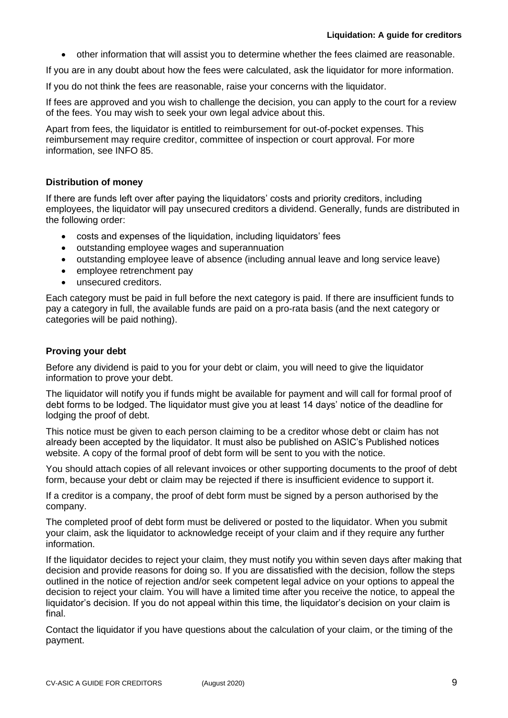• other information that will assist you to determine whether the fees claimed are reasonable.

If you are in any doubt about how the fees were calculated, ask the liquidator for more information.

If you do not think the fees are reasonable, raise your concerns with the liquidator.

If fees are approved and you wish to challenge the decision, you can apply to the court for a review of the fees. You may wish to seek your own legal advice about this.

Apart from fees, the liquidator is entitled to reimbursement for out-of-pocket expenses. This reimbursement may require creditor, committee of inspection or court approval. For more information, see INFO 85.

# **Distribution of money**

If there are funds left over after paying the liquidators' costs and priority creditors, including employees, the liquidator will pay unsecured creditors a dividend. Generally, funds are distributed in the following order:

- costs and expenses of the liquidation, including liquidators' fees
- outstanding employee wages and superannuation
- outstanding employee leave of absence (including annual leave and long service leave)
- employee retrenchment pay
- unsecured creditors.

Each category must be paid in full before the next category is paid. If there are insufficient funds to pay a category in full, the available funds are paid on a pro-rata basis (and the next category or categories will be paid nothing).

#### **Proving your debt**

Before any dividend is paid to you for your debt or claim, you will need to give the liquidator information to prove your debt.

The liquidator will notify you if funds might be available for payment and will call for formal proof of debt forms to be lodged. The liquidator must give you at least 14 days' notice of the deadline for lodging the proof of debt.

This notice must be given to each person claiming to be a creditor whose debt or claim has not already been accepted by the liquidator. It must also be published on ASIC's Published notices website. A copy of the formal proof of debt form will be sent to you with the notice.

You should attach copies of all relevant invoices or other supporting documents to the proof of debt form, because your debt or claim may be rejected if there is insufficient evidence to support it.

If a creditor is a company, the proof of debt form must be signed by a person authorised by the company.

The completed proof of debt form must be delivered or posted to the liquidator. When you submit your claim, ask the liquidator to acknowledge receipt of your claim and if they require any further information.

If the liquidator decides to reject your claim, they must notify you within seven days after making that decision and provide reasons for doing so. If you are dissatisfied with the decision, follow the steps outlined in the notice of rejection and/or seek competent legal advice on your options to appeal the decision to reject your claim. You will have a limited time after you receive the notice, to appeal the liquidator's decision. If you do not appeal within this time, the liquidator's decision on your claim is final.

Contact the liquidator if you have questions about the calculation of your claim, or the timing of the payment.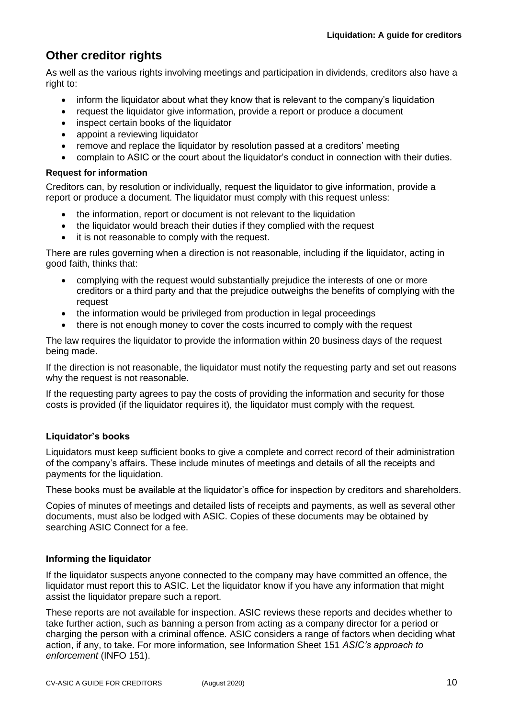# **Other creditor rights**

As well as the various rights involving meetings and participation in dividends, creditors also have a right to:

- inform the liquidator about what they know that is relevant to the company's liquidation
- request the liquidator give information, provide a report or produce a document
- inspect certain books of the liquidator
- appoint a reviewing liquidator
- remove and replace the liquidator by resolution passed at a creditors' meeting
- complain to ASIC or the court about the liquidator's conduct in connection with their duties.

# **Request for information**

Creditors can, by resolution or individually, request the liquidator to give information, provide a report or produce a document. The liquidator must comply with this request unless:

- the information, report or document is not relevant to the liquidation
- the liquidator would breach their duties if they complied with the request
- it is not reasonable to comply with the request.

There are rules governing when a direction is not reasonable, including if the liquidator, acting in good faith, thinks that:

- complying with the request would substantially prejudice the interests of one or more creditors or a third party and that the prejudice outweighs the benefits of complying with the request
- the information would be privileged from production in legal proceedings
- there is not enough money to cover the costs incurred to comply with the request

The law requires the liquidator to provide the information within 20 business days of the request being made.

If the direction is not reasonable, the liquidator must notify the requesting party and set out reasons why the request is not reasonable.

If the requesting party agrees to pay the costs of providing the information and security for those costs is provided (if the liquidator requires it), the liquidator must comply with the request.

# **Liquidator's books**

Liquidators must keep sufficient books to give a complete and correct record of their administration of the company's affairs. These include minutes of meetings and details of all the receipts and payments for the liquidation.

These books must be available at the liquidator's office for inspection by creditors and shareholders.

Copies of minutes of meetings and detailed lists of receipts and payments, as well as several other documents, must also be lodged with ASIC. Copies of these documents may be obtained by searching ASIC Connect for a fee.

# **Informing the liquidator**

If the liquidator suspects anyone connected to the company may have committed an offence, the liquidator must report this to ASIC. Let the liquidator know if you have any information that might assist the liquidator prepare such a report.

These reports are not available for inspection. ASIC reviews these reports and decides whether to take further action, such as banning a person from acting as a company director for a period or charging the person with a criminal offence. ASIC considers a range of factors when deciding what action, if any, to take. For more information, see Information Sheet 151 *ASIC's approach to enforcement* (INFO 151).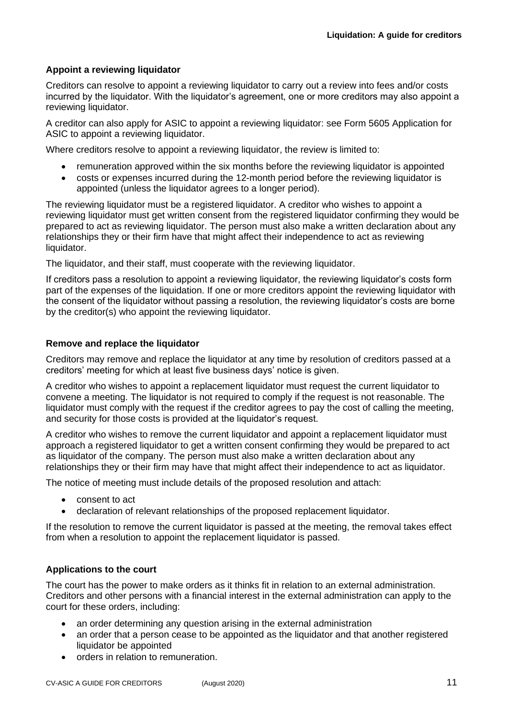# **Appoint a reviewing liquidator**

Creditors can resolve to appoint a reviewing liquidator to carry out a review into fees and/or costs incurred by the liquidator. With the liquidator's agreement, one or more creditors may also appoint a reviewing liquidator.

A creditor can also apply for ASIC to appoint a reviewing liquidator: see Form 5605 Application for ASIC to appoint a reviewing liquidator.

Where creditors resolve to appoint a reviewing liquidator, the review is limited to:

- remuneration approved within the six months before the reviewing liquidator is appointed
- costs or expenses incurred during the 12-month period before the reviewing liquidator is appointed (unless the liquidator agrees to a longer period).

The reviewing liquidator must be a registered liquidator. A creditor who wishes to appoint a reviewing liquidator must get written consent from the registered liquidator confirming they would be prepared to act as reviewing liquidator. The person must also make a written declaration about any relationships they or their firm have that might affect their independence to act as reviewing liquidator.

The liquidator, and their staff, must cooperate with the reviewing liquidator.

If creditors pass a resolution to appoint a reviewing liquidator, the reviewing liquidator's costs form part of the expenses of the liquidation. If one or more creditors appoint the reviewing liquidator with the consent of the liquidator without passing a resolution, the reviewing liquidator's costs are borne by the creditor(s) who appoint the reviewing liquidator.

#### **Remove and replace the liquidator**

Creditors may remove and replace the liquidator at any time by resolution of creditors passed at a creditors' meeting for which at least five business days' notice is given.

A creditor who wishes to appoint a replacement liquidator must request the current liquidator to convene a meeting. The liquidator is not required to comply if the request is not reasonable. The liquidator must comply with the request if the creditor agrees to pay the cost of calling the meeting, and security for those costs is provided at the liquidator's request.

A creditor who wishes to remove the current liquidator and appoint a replacement liquidator must approach a registered liquidator to get a written consent confirming they would be prepared to act as liquidator of the company. The person must also make a written declaration about any relationships they or their firm may have that might affect their independence to act as liquidator.

The notice of meeting must include details of the proposed resolution and attach:

- consent to act
- declaration of relevant relationships of the proposed replacement liquidator.

If the resolution to remove the current liquidator is passed at the meeting, the removal takes effect from when a resolution to appoint the replacement liquidator is passed.

#### **Applications to the court**

The court has the power to make orders as it thinks fit in relation to an external administration. Creditors and other persons with a financial interest in the external administration can apply to the court for these orders, including:

- an order determining any question arising in the external administration
- an order that a person cease to be appointed as the liquidator and that another registered liquidator be appointed
- orders in relation to remuneration.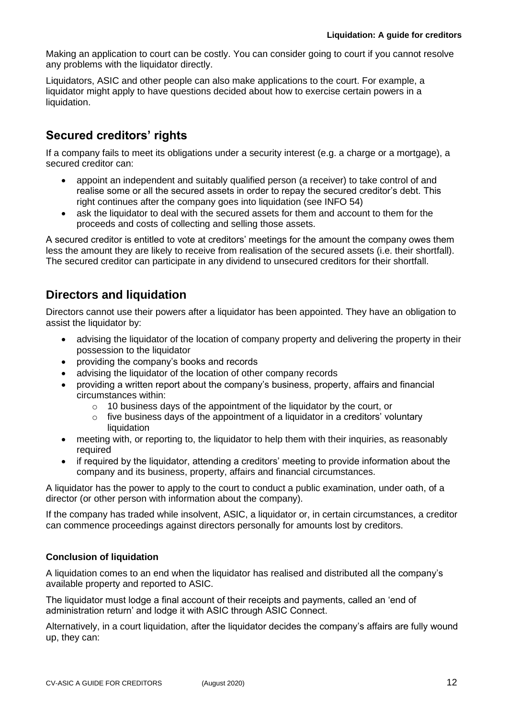Making an application to court can be costly. You can consider going to court if you cannot resolve any problems with the liquidator directly.

Liquidators, ASIC and other people can also make applications to the court. For example, a liquidator might apply to have questions decided about how to exercise certain powers in a liquidation.

# **Secured creditors' rights**

If a company fails to meet its obligations under a security interest (e.g. a charge or a mortgage), a secured creditor can:

- appoint an independent and suitably qualified person (a receiver) to take control of and realise some or all the secured assets in order to repay the secured creditor's debt. This right continues after the company goes into liquidation (see INFO 54)
- ask the liquidator to deal with the secured assets for them and account to them for the proceeds and costs of collecting and selling those assets.

A secured creditor is entitled to vote at creditors' meetings for the amount the company owes them less the amount they are likely to receive from realisation of the secured assets (i.e. their shortfall). The secured creditor can participate in any dividend to unsecured creditors for their shortfall.

# **Directors and liquidation**

Directors cannot use their powers after a liquidator has been appointed. They have an obligation to assist the liquidator by:

- advising the liquidator of the location of company property and delivering the property in their possession to the liquidator
- providing the company's books and records
- advising the liquidator of the location of other company records
- providing a written report about the company's business, property, affairs and financial circumstances within:
	- o 10 business days of the appointment of the liquidator by the court, or
	- $\circ$  five business days of the appointment of a liquidator in a creditors' voluntary liquidation
- meeting with, or reporting to, the liquidator to help them with their inquiries, as reasonably required
- if required by the liquidator, attending a creditors' meeting to provide information about the company and its business, property, affairs and financial circumstances.

A liquidator has the power to apply to the court to conduct a public examination, under oath, of a director (or other person with information about the company).

If the company has traded while insolvent, ASIC, a liquidator or, in certain circumstances, a creditor can commence proceedings against directors personally for amounts lost by creditors.

# **Conclusion of liquidation**

A liquidation comes to an end when the liquidator has realised and distributed all the company's available property and reported to ASIC.

The liquidator must lodge a final account of their receipts and payments, called an 'end of administration return' and lodge it with ASIC through ASIC Connect.

Alternatively, in a court liquidation, after the liquidator decides the company's affairs are fully wound up, they can: